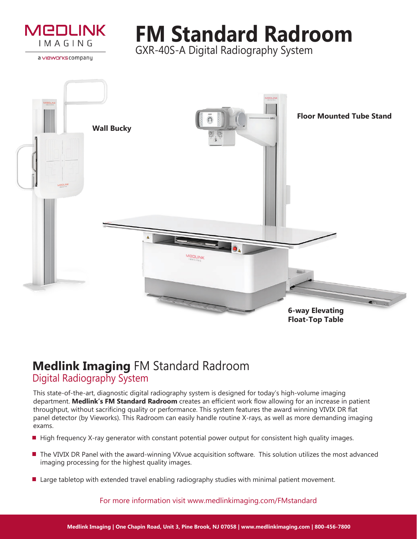

a vieworks company

# **FM Standard Radroom**

GXR-40S-A Digital Radiography System



# **Medlink Imaging** FM Standard Radroom Digital Radiography System

This state-of-the-art, diagnostic digital radiography system is designed for today's high-volume imaging department. **Medlink's FM Standard Radroom** creates an efficient work flow allowing for an increase in patient throughput, without sacrificing quality or performance. This system features the award winning VIVIX DR flat panel detector (by Vieworks). This Radroom can easily handle routine X-rays, as well as more demanding imaging exams.

- High frequency X-ray generator with constant potential power output for consistent high quality images.
- The VIVIX DR Panel with the award-winning VXvue acquisition software. This solution utilizes the most advanced imaging processing for the highest quality images.
- **Large tabletop with extended travel enabling radiography studies with minimal patient movement.**

For more information visit www.medlinkimaging.com/FMstandard